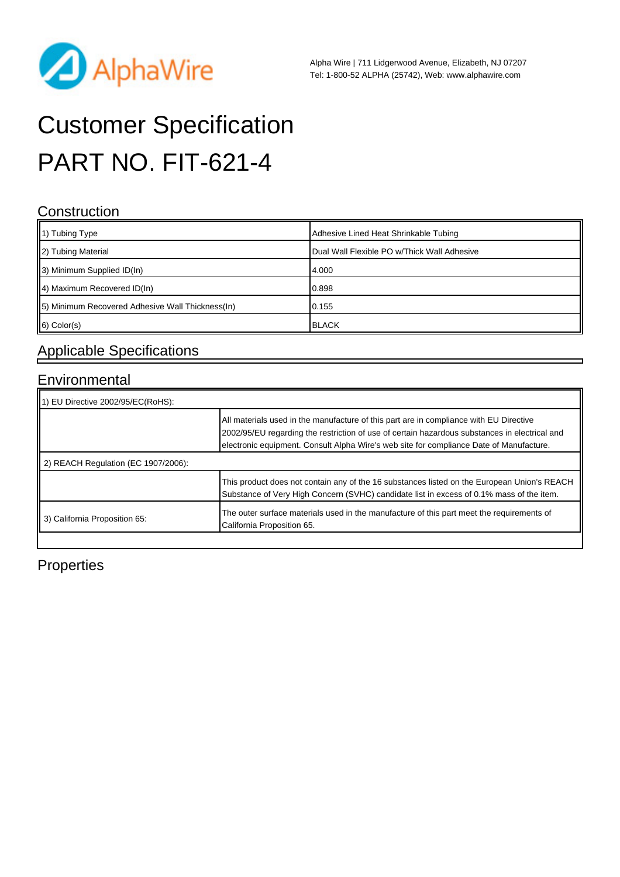

# Customer Specification PART NO. FIT-621-4

#### **Construction**

| $\parallel$ 1) Tubing Type                        | Adhesive Lined Heat Shrinkable Tubing       |
|---------------------------------------------------|---------------------------------------------|
| 2) Tubing Material                                | Dual Wall Flexible PO w/Thick Wall Adhesive |
| 3) Minimum Supplied ID(In)                        | 4.000                                       |
| 4) Maximum Recovered ID(In)                       | 0.898                                       |
| [5] Minimum Recovered Adhesive Wall Thickness(In) | 0.155                                       |
| $\vert$ 6) Color(s)                               | <b>BLACK</b>                                |

### Applicable Specifications

#### Environmental

| $\parallel$ 1) EU Directive 2002/95/EC(RoHS): |                                                                                                                                                                                                                                                                                    |  |  |
|-----------------------------------------------|------------------------------------------------------------------------------------------------------------------------------------------------------------------------------------------------------------------------------------------------------------------------------------|--|--|
|                                               | All materials used in the manufacture of this part are in compliance with EU Directive<br>2002/95/EU regarding the restriction of use of certain hazardous substances in electrical and<br>electronic equipment. Consult Alpha Wire's web site for compliance Date of Manufacture. |  |  |
| 2) REACH Regulation (EC 1907/2006):           |                                                                                                                                                                                                                                                                                    |  |  |
|                                               | This product does not contain any of the 16 substances listed on the European Union's REACH<br>Substance of Very High Concern (SVHC) candidate list in excess of 0.1% mass of the item.                                                                                            |  |  |
| 3) California Proposition 65:                 | The outer surface materials used in the manufacture of this part meet the requirements of<br>California Proposition 65.                                                                                                                                                            |  |  |

#### **Properties**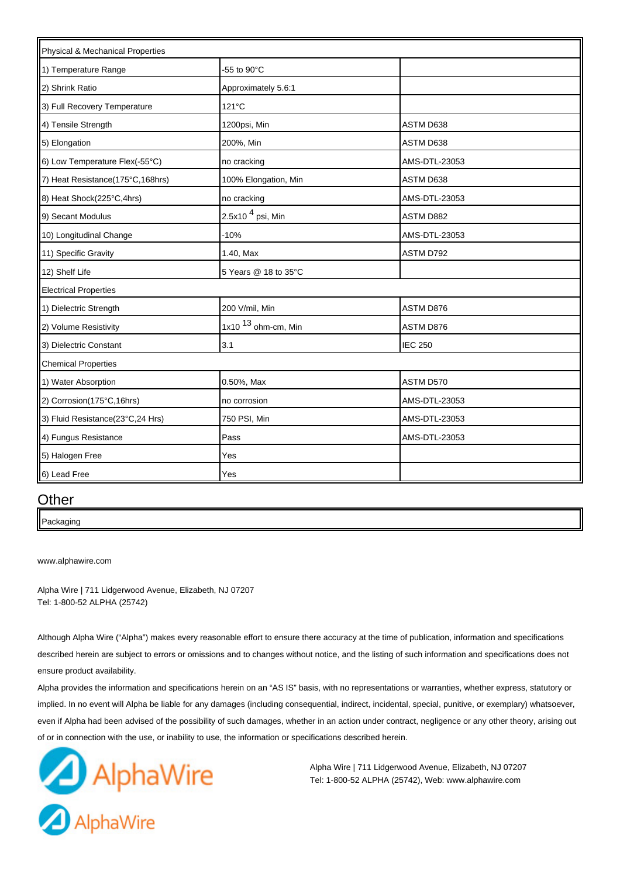| Physical & Mechanical Properties |                       |                |  |
|----------------------------------|-----------------------|----------------|--|
| 1) Temperature Range             | -55 to 90°C           |                |  |
| 2) Shrink Ratio                  | Approximately 5.6:1   |                |  |
| 3) Full Recovery Temperature     | $121^{\circ}$ C       |                |  |
| 4) Tensile Strength              | 1200psi, Min          | ASTM D638      |  |
| 5) Elongation                    | 200%, Min             | ASTM D638      |  |
| 6) Low Temperature Flex(-55°C)   | no cracking           | AMS-DTL-23053  |  |
| 7) Heat Resistance(175°C,168hrs) | 100% Elongation, Min  | ASTM D638      |  |
| 8) Heat Shock(225°C,4hrs)        | no cracking           | AMS-DTL-23053  |  |
| 9) Secant Modulus                | 2.5x10 $4$ psi, Min   | ASTM D882      |  |
| 10) Longitudinal Change          | $-10%$                | AMS-DTL-23053  |  |
| 11) Specific Gravity             | 1.40, Max             | ASTM D792      |  |
| 12) Shelf Life                   | 5 Years @ 18 to 35°C  |                |  |
| <b>Electrical Properties</b>     |                       |                |  |
| 1) Dielectric Strength           | 200 V/mil, Min        | ASTM D876      |  |
| 2) Volume Resistivity            | 1x10 $13$ ohm-cm, Min | ASTM D876      |  |
| 3) Dielectric Constant           | 3.1                   | <b>IEC 250</b> |  |
| <b>Chemical Properties</b>       |                       |                |  |
| 1) Water Absorption              | 0.50%, Max            | ASTM D570      |  |
| 2) Corrosion(175°C,16hrs)        | no corrosion          | AMS-DTL-23053  |  |
| 3) Fluid Resistance(23°C,24 Hrs) | 750 PSI, Min          | AMS-DTL-23053  |  |
| 4) Fungus Resistance             | Pass                  | AMS-DTL-23053  |  |
| 5) Halogen Free                  | Yes                   |                |  |
| 6) Lead Free                     | Yes                   |                |  |

#### **Other**

Packaging

[www.alphawire.com](http://www.alphawire.com)

Alpha Wire | 711 Lidgerwood Avenue, Elizabeth, NJ 07207 Tel: 1-800-52 ALPHA (25742)

Although Alpha Wire ("Alpha") makes every reasonable effort to ensure there accuracy at the time of publication, information and specifications described herein are subject to errors or omissions and to changes without notice, and the listing of such information and specifications does not ensure product availability.

Alpha provides the information and specifications herein on an "AS IS" basis, with no representations or warranties, whether express, statutory or implied. In no event will Alpha be liable for any damages (including consequential, indirect, incidental, special, punitive, or exemplary) whatsoever, even if Alpha had been advised of the possibility of such damages, whether in an action under contract, negligence or any other theory, arising out of or in connection with the use, or inability to use, the information or specifications described herein.



Alpha Wire | 711 Lidgerwood Avenue, Elizabeth, NJ 07207 Tel: 1-800-52 ALPHA (25742), Web: www.alphawire.com